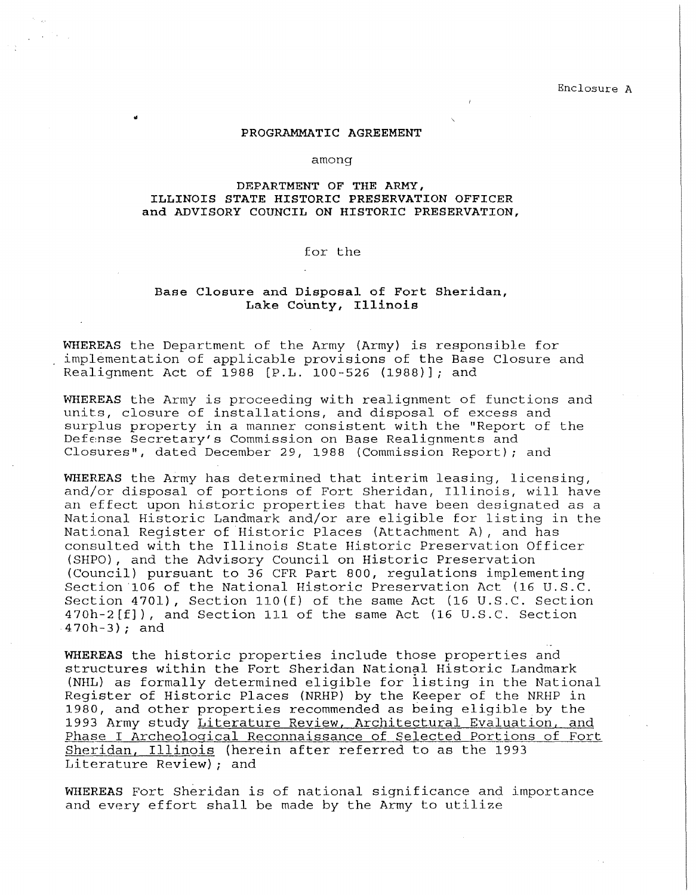Enclosure A

## PROGRAMMATIC AGREEMENT

#### among

# DEPARTMENT OF THE ARMY, **ILLINOIS STATE HISTORIC PRESERVATION OFFICER and ADVISORY COUNCIL ON HISTORIC PRESERVATION,**

## for the

# **Base Closure and Disposal of Fort Sheridan, Lake County, Illinois**

**WHEREAS** the Department of the Army (Army) is responsible for implementation of applicable provisions of the Base Closure and Realignment Act of 1988 [P.L. 100-526 (1988)]; and

**WHEREAS** the Army is proceeding with realignment of functions and units, closure of installations, and disposal of excess and surplus property in a manner consistent with the "Report of the Defense Secretary's Commission on Base Realignments and Closures", dated December 29, 1988 (Commission Report); and

**WHEREAS** the Army has determined that interim leasing, licensing, and/or disposal of portions of Fort Sheridan, Illinois, will have an effect upon historic properties that have been designated as a National Historic Landmark and/or are eligible for listing in the National Register of Historic Places (Attachment A), and has consulted with the Illinois State Historic Preservation Officer (SHPO), and the Advisory Council on Historic Preservation (Council) pursuant to 36 CFR Part 800, regulations implementing Section 106 of the National Historic Preservation Act (16 U.S.C. Section 4701), Section ll0(f) of the same Act (16 U.S.C. Section 470h-2[f]), and Section 111 of the same Act (16 U.S.C. Section 470h-3); and

**WHEREAS** the historic properties include those properties and structures within the Fort Sheridan National Historic Landmark (NHL) as formally determined eligible for iisting in the National Register of Historic Places (NRHP) by the Keeper of the NRHP in 1980, and other properties recommended as being eligible by the 1993 Army study Literature Review, Architectural Evaluation, and Phase I Archeological Reconnaissance of Selected Portions of Fort Sheridan, Illinois (herein after referred to as the 1993 Literature Review); and

**WHEREAS** Fort Sheridan is of national significance and importance and every effort shall be made *by* the Army to utilize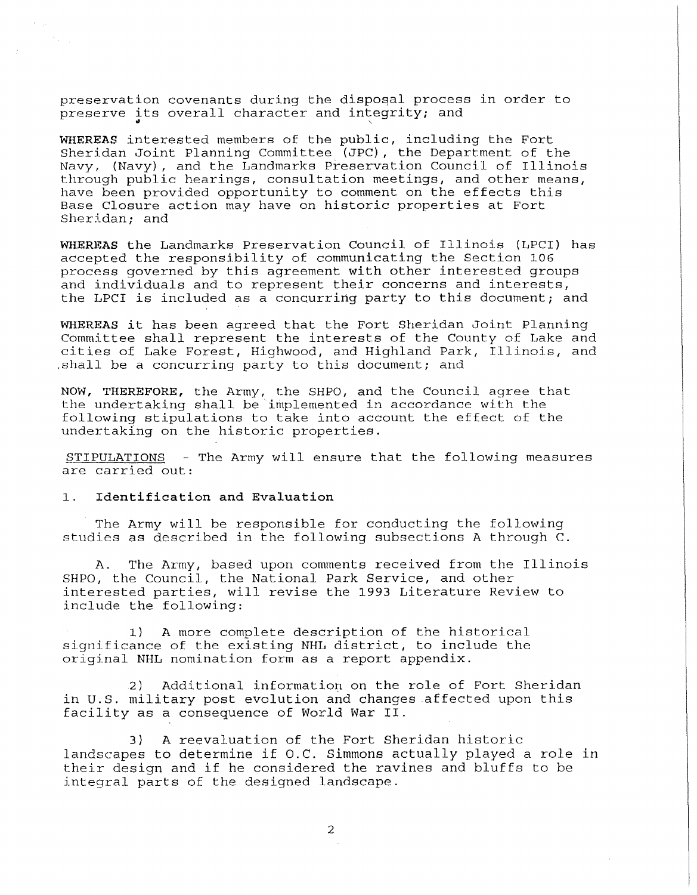preservation covenants during the disposal process in order to preserve its overall character and integrity; and

**WHEREAS** interested members of the public, including the Fort Sheridan Joint Planning Committee (JPC), the Department of the Navy, (Navy), and the Landmarks Preservation Council of Illinois through public hearings, consultation meetings, and other means, have been provided opportunity to comment on the effects this Base Closure action may have on historic properties at Fort Sheridan; and

**WHEREAS** the Landmarks Preservation Council of Illinois (LPCI) has accepted the responsibility of communicating the Section 106 process governed by this agreement with other interested groups and individuals and to represent their concerns and interests, the LPCI is included as a concurring party to this document; and

**WHEREAS** it has been agreed that the Fort Sheridan Joint Planning Committee shall represent the interests of the County of Lake and cities of Lake Forest, Highwood, and Highland Park, Illinois, and .shall be a concurring party to this document; and

**NOW, THEREFORE,** the Army, the SHPO, and the Council agree that the undertaking shall be implemented in accordance with the following stipulations to take into account the effect of the undertaking on the historic properties.

STIPULATIONS - The Army will ensure that the following measures are carried out:

## 1. **Identification and Evaluation**

 $\mathcal{F}_{\alpha\beta}$  .

The Army will be responsible for conducting the following studies as described in the following subsections A through C.

A. The Army, based upon comments received from the Illinois SHPO, the Council, the National Park Service, and other interested parties, will revise the 1993 Literature Review to include the following:

1) A more complete description of the historical significance of the existing NHL district, to include the original NHL nomination form as a report appendix.

2) Additional information on the role of Fort Sheridan in U.S. military post evolution and changes affected upon this facility as a consequence of World War II.

3) A reevaluation of the Fort Sheridan historic landscapes to determine if O.C. Simmons actually played a role in their design and if he considered the ravines and bluffs to be integral parts of the designed landscape.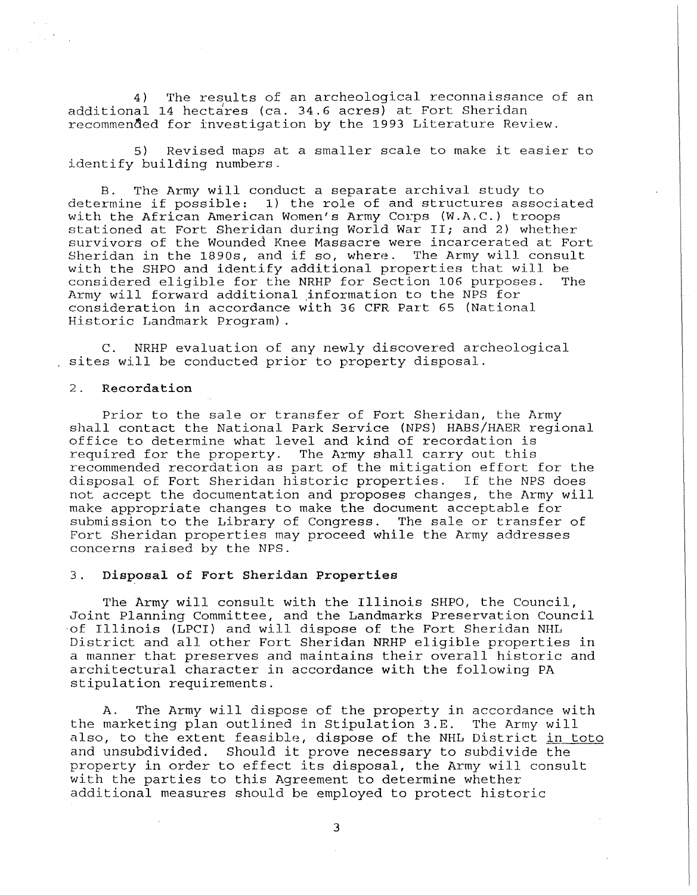4) The results of an archeological reconnaissance of an additional 14 hectares (ca. 34.6 acres) at Fort Sheridan recommended for investigation by the 1993 Literature Review.

5) Revised maps at a smaller scale to make it easier to identify building numbers.

The Army will conduct a separate archival study to determine if possible: 1) the role of and structures associated with the African American Women's Army Corps (W.A.C.) troops stationed at Fort Sheridan during World War II; and 2) whether survivors of the Wounded Knee Massacre were incarcerated at Fort<br>Sheridan in the 1890s, and if so, where. The Army will consult Sheridan in the 1890s, and if so, where. with the SHPO and identify additional properties that will be considered eligible for the NRHP for Section 106 purposes. The considered eligible for the NRHP for Section 106 purposes. Army will forward additional jnformation to the NPS for consideration in accordance with 36 CFR Part 65 (National Historic Landmark Program).

C. NRHP evaluation of any newly discovered archeological sites will be conducted prior to property disposal.

#### 2. **Recordation**

Prior to the sale or transfer of Fort Sheridan, the Army shall contact the National Park Service (NPS) HABS/HAER regional office to determine what level and kind of recordation is required for the property. The Army shall carry out this recommended recordation as part of the mitigation effort for the disposal of Fort Sheridan historic properties. If the NPS does not accept the documentation and proposes changes, the Army will make appropriate changes to make the document acceptable for submission to the Library of Congress. The sale or transfer of Fort Sheridan properties may proceed while the Army addresses concerns raised by the NPS.

## 3. **Disposal of Fort Sheridan Properties**

The Army will consult with the Illinois SHPO, the Council, Joint Planning Committee, and the Landmarks Preservation Council of Illinois (LPCI) and will dispose of the Fort Sheridan NHL District and all other Fort Sheridan NRHP eligible properties in a manner that preserves and maintains their overall historic and architectural character in accordance with the following PA stipulation requirements.

A. The Army will dispose of the property in accordance with the marketing plan outlined in Stipulation 3.E. The Army will also, to the extent feasible, dispose of the NHL District in toto and unsubdivided. Should it prove necessary to subdivide the property in order to effect its disposal, the Army will consult with the parties to this Agreement to determine whether additional measures should be employed to protect historic

3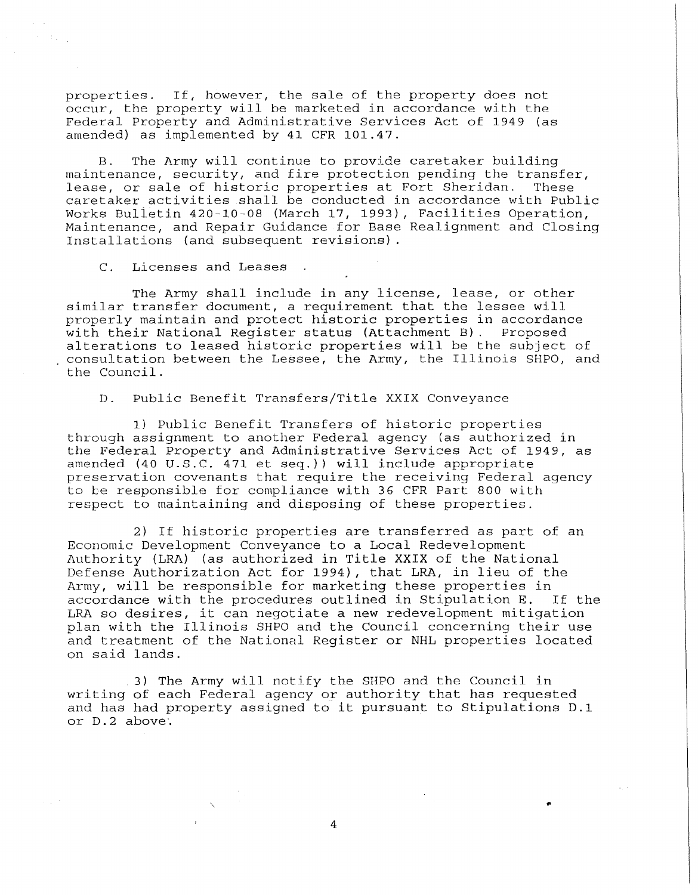properties. If, however, the sale of the property does not occur, the property will be marketed in accordance with the Federal Property and Administrative Services Act of 1949 (as amended) as implemented by 41 CFR 101.47.

B. The Army will continue to provide caretaker building maintenance, security, and fire protection pending the transfer, lease, or sale of historic properties at Fort Sheridan. These caretaker activities shall be conducted in accordance with Public Works Bulietin 420-10-08 (March 17, 1993), Facilities Operation, Maintenance, and Repair Guidance for Base Realignment and Closing Installations (and subsequent revisions).

C. Licenses and Leases

 $\epsilon = \epsilon_{\rm max}$ 

The Army shall include in any license, lease, or other similar transfer document, a requirement that the lessee will properly maintain and protect historic properties in accordance with their National Register status (Attachment B). Proposed alterations to leased historic properties will be the subject of consultation between the Lessee, the Army, the Illinois SHPO, and the Council.

D. Public Benefit Transfers/Title **XXIX** Conveyance

1) Public Benefit Transfers of historic properties through assignment to another Federal agency (as authorized in the Federal Property and Administrative Services Act of 1949, as amended (40 U.S.C. 471 et seq.)) will include appropriate preservation covenants that require the receiving Federal agency to be responsible for compliance with 36 CFR Part 800 with respect to maintaining and disposing of these properties.

2) If historic properties are transferred as part of an Economic Development Conveyance to a Local Redevelopment Authority (LRA) (as authorized in Title **XXIX** of the National Defense Authorization Act for 1994), that LRA, in lieu of the Army, will be responsible for marketing these properties in accordance with the procedures outlined in Stipulation E. If the LRA so desires, it can negotiate a new redevelopment mitigation plan with the Illinois SHPO and the Council concerning their use and treatment of the National Register or NHL properties located on said lands.

3) The Army will notify the SHPO and the Council in writing of each Federal agency or authority that has requested and has had property assigned to it pursuant to Stipulations D.1 or D. 2 above·.

4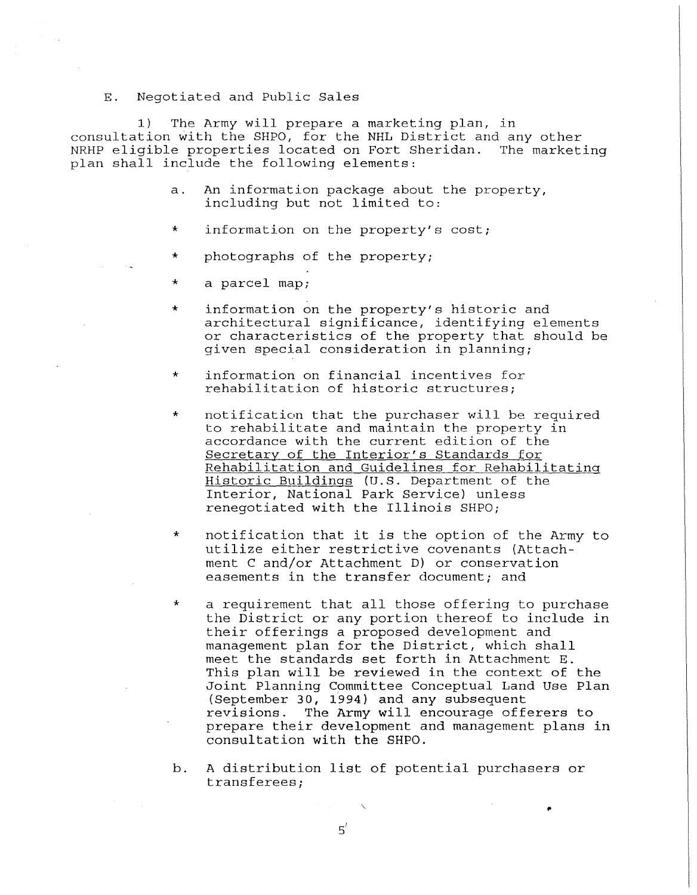## E. Negotiated and Public Sales

1) The Army will prepare a marketing plan, in consultation with the SHPO, for the NHL District and any other NRHP eligible properties located on Fort Sheridan. The marketing plan shall include the following elements:

- a. An information package about the property, including but not limited to:
- information on the property's cost;
- photographs of the property;
- a parcel map;
- information on the property's historic and architectural significance, identifying elements or characteristics of the property that should be given special consideration in planning;
- information on financial incentives for rehabilitation of historic structures;
- \* notification that the purchaser will be required to rehabilitate and maintain the property in accordance with the current edition of the Secretary of the Interior's Standards for Rehabilitation and Guidelines for Rehabilitating Historic Buildings (U.S. Department of the Interior, National Park Service) unless renegotiated with the Illinois SHPO;
- \* notification that it is the option of the Army to utilize either restrictive covenants (Attachment C and/or Attachment D) or conservation easements in the transfer document; and
- \* a requirement that all those offering to purchase the District or any portion thereof to include in their offerings a proposed development and management plan for the District, which shall meet the standards set forth in Attachment E. This plan will be reviewed in the context of the Joint Planning Committee Conceptual Land Use Plan (September 30, 1994) and any subsequent revisions. The Army will encourage offerers to prepare their development and management plans in consultation with the SHPO.
- b. A distribution list of potential purchasers or transferees;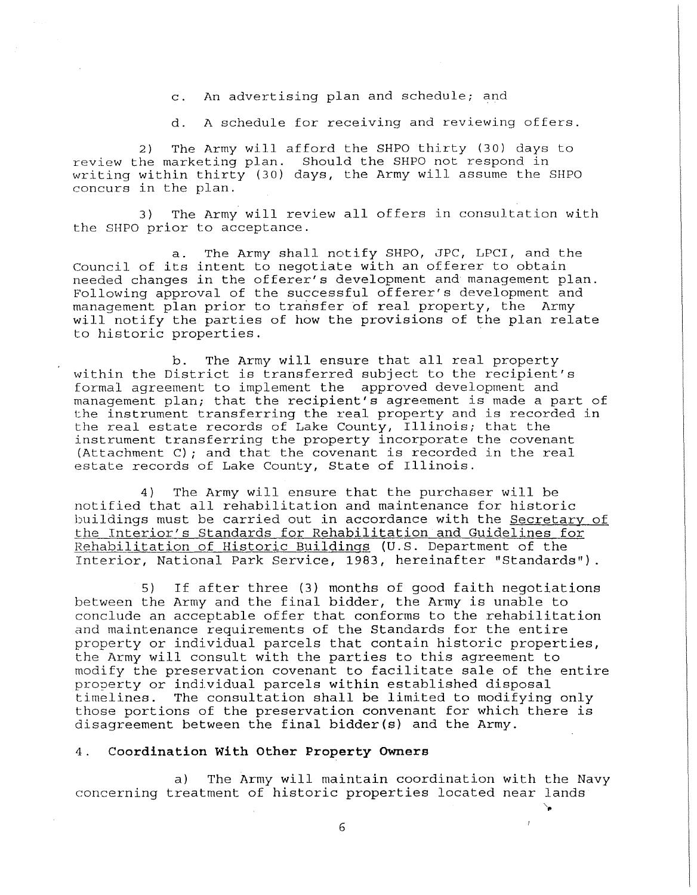c. An advertising plan and schedule; and

d. A schedule for receiving and reviewing offers.

2) The Army will afford the SHPO thirty (30) days to review the marketing plan. Should the SHPO not respond in writing within thirty (30) days, the Army will assume the SHPO concurs in the plan.

3) The Army will review all offers in consultation with the SHPO prior to acceptance.

a. The Army shall notify SHPO, JPC, LPCI, and the Council of its intent to negotiate with an offerer to obtain needed changes in the offerer's development and management plan. Following approval of the successful offerer's development and management plan prior to transfer of real property, the Army will notify the parties of how the provisions of the plan relate to historic properties.

b. The Army will ensure that all real property within the District is transferred subject to the recipient's formal agreement to implement the approved development and management plan; that the recipient's agreement is made a part of the instrument transferring the real property and is recorded in the real estate records of Lake County, Illinois; that the instrument transferring the property incorporate the covenant (Attachment C); and that the covenant is recorded in the real estate records of Lake County, State of Illinois.

4) The Army will ensure that the purchaser will be notified that all rehabilitation and maintenance for historic buildings must be carried out in accordance with the Secretary of the Interior's Standards for Rehabilitation and Guidelines for Rehabilitation of Historic Buildings (U.S. Department of the Interior, National Park Service, 1983, hereinafter "Standards")

5) If after three (3) months of good faith negotiations between the Army and the final bidder, the Army is unable to conclude an acceptable offer that conforms to the rehabilitation and maintenance requirements of the Standards for the entire property or individual parcels that contain historic properties, the Army will consult with the parties to this agreement to modify the preservation covenant to facilitate sale of the entire property or individual parcels **within** established disposal timelines. The consultation shall be limited to modifying only those portions of the preservation convenant for which there is disagreement between the final bidder(s) and the Army.

### 4. **Coordination With Other Property Owners**

a) The Army will maintain coordination with the Navy concerning treatment of historic properties located near lands

'~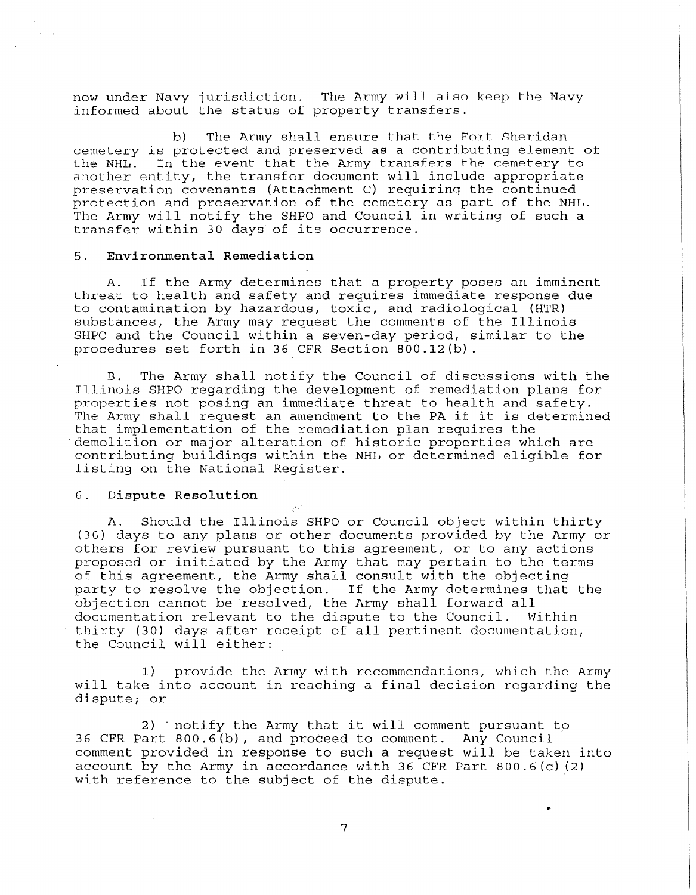now under Navy jurisdiction. The Army will also keep the Navy informed about the status of property transfers.

b) The Army shall ensure that the Fort Sheridan cemetery is protected and preserved as a contributing element of the NHL. In the event that the Army transfers the cemetery to another entity, the transfer document will include appropriate preservation covenants (Attachment C) requiring the continued protection and preservation of the cemetery as part of the NHL. The Army will notify the SHPO and Council in writing of such a transfer within 30 days of its occurrence.

### 5. **Environmental Remediation**

A. If the Army determines that a property poses an imminent threat to health and safety and requires immediate response due to contamination by hazardous, toxic, and radiological (HTR) substances, the Army may request the comments of the Illinois SHPO and the Council within a seven-day period, similar to the procedures set forth in 36 CFR Section 800.12(b).

B. The Army shall notify the Council of discussions with the Illinois SHPO regarding the development of remediation plans for properties not posing an immediate threat to health and safety. The Army shall request an amendment to the PA if it is determined that implementation of the remediation plan requires the demolition or major alteration of historic properties which are contributing buildings within the NHL or determined eligible for listing on the National Register.

#### 6. **Dispute Resolution**

A. Should the Illinois SHPO or Council object within thirty (3G) days to any plans or other documents provided by the Army or others for review pursuant to this agreement, or to any actions proposed or initiated by the Army that may pertain to the terms of this agreement, the Army shall consult with the objecting party to resolve the objection. If the Army determines that the objection cannot be resolved, the Army shall forward all<br>documentation relevant to the dispute to the Council. Within documentation relevant to the dispute to the Council. thirty (30) days after receipt of all pertinent documentation, the Council will either:

1) provide the Army with recommendations, which the Army will take into account in reaching a final decision regarding the dispute; or

2) notify the Army that it will comment pursuant to 36 CFR Part 800.6(b), and proceed to comment. **Any** Council comment provided in response to such a request will be taken into account by the Army **in** accordance with 36 CFR Part 800.6(c) (2) with reference to the subject of the dispute.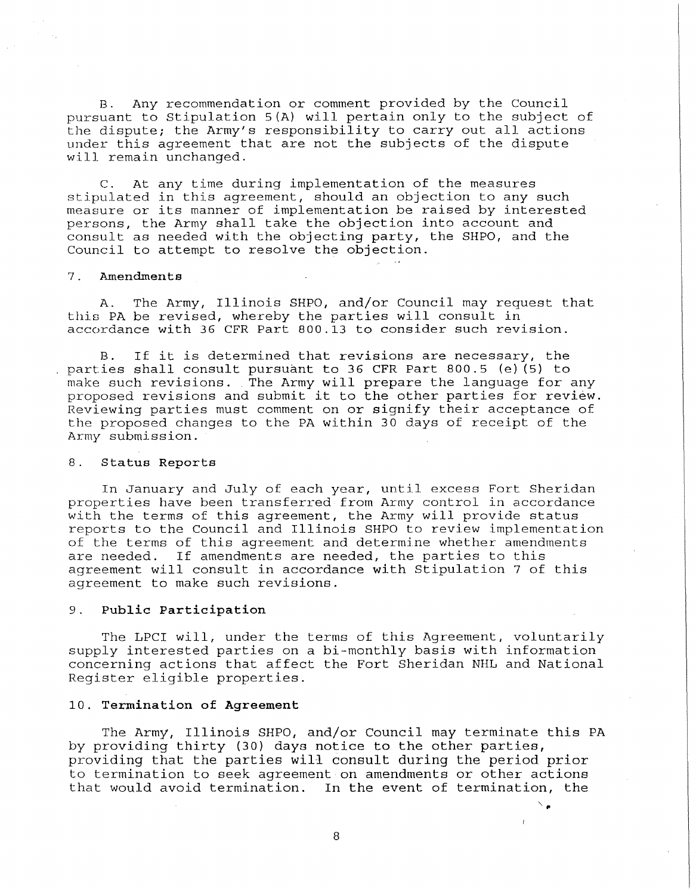B. Any recommendation or comment provided by the Council pursuant to Stipulation 5(A) will pertain only to the subject of the dispute; the Army's responsibility to carry out all actions under this agreement that are not the subjects of the dispute will remain unchanged.

C. At any time during implementation of the measures stipulated in this agreement, should an objection to any such measure or its manner of implementation be raised by interested persons, the Army shall take the objection into account and consult as needed with the objecting party, the SHPO, and the Council to attempt to resolve the objection.

### 7. **Amendments**

A. The Army, Illinois SHPO, and/or Council may request that this PA be revised, whereby the parties will consult in accordance with 36 CFR Part 800.13 to consider such revision.

If it is determined that revisions are necessary, the parties shall consult pursuant to 36 CFR Part 800.5 (e) (5) to make such revisions. The Army will prepare the language for any proposed revisions and submit it to the other parties for review. Reviewing parties must comment on or signify their acceptance of the proposed changes to the PA within 30 days of receipt of the Army submission.

#### 8. **Status Reports**

In January and July of each year, until excess Fort Sheridan properties have been transferred from Army control in accordance with the terms of this agreement, the Army will provide status reports to the Council and Illinois SHPO to review implementation of the terms of this agreement and determine whether amendments are needed. If amendments are needed, the parties to this If amendments are needed, the parties to this agreement will consult in accordance with Stipulation 7 of this agreement to make such revisions.

## 9. **Public Participation**

The LPCI will, under the terms of this Agreement, voluntarily supply interested parties on a bi-monthly basis with information concerning actions that affect the Fort Sheridan NHL and National Register eligible properties.

# 10. **Termination of Agreement**

The Army, Illinois SHPO, and/or Council may terminate this PA by providing thirty (30) days notice to the other parties, providing that the parties will consult during the period prior to termination to seek agreement on amendments or other actions that would avoid termination. In the event of termination, the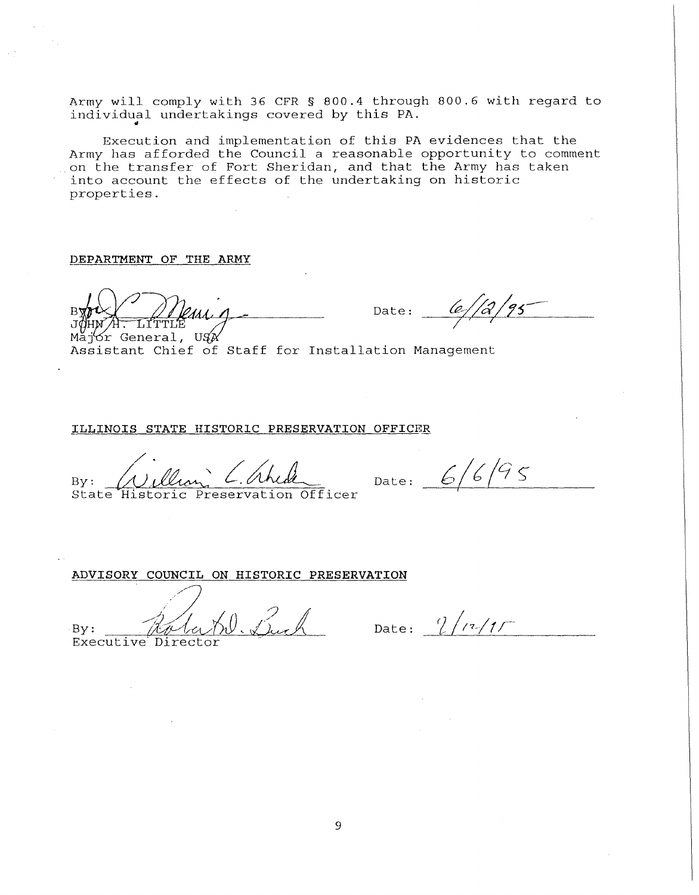Army will comply with 36 CFR § 800.4 through 800.6 with regard to individual undertakings covered by this PA.

Execution and implementation of this PA evidences that the Army has afforded the Council a reasonable opportunity to comment on the transfer of Fort Sheridan, and that the Army has taken into account the effects of the undertaking on historic properties.

**DEPARTMENT OF THE ARMY** 

 $B$   $B$   $C$   $D$   $D$   $C$   $D$   $D$   $D$   $D$   $D$   $D$   $E$   $E$   $D$   $D$   $E$   $E$   $D$   $D$   $E$   $E$   $E$   $D$ 

 $Maj$  General,  $U J x$ Assistant Chief of Staff for Installation Management

**ILLINOIS STATE HISTORIC PRESERVATION OFFICER** 

By: William C. Ahide PRESERVATION<br>By: William C. Ahide<br>State Historic Preservation Officer

Date:  $6/6/95$ 

**ADVISORY COUNCIL ON HISTORIC PRESERVATION**  $By:$  Robert K. Buch By: Rata M. Duch Date:  $1/(7/1)$ 

9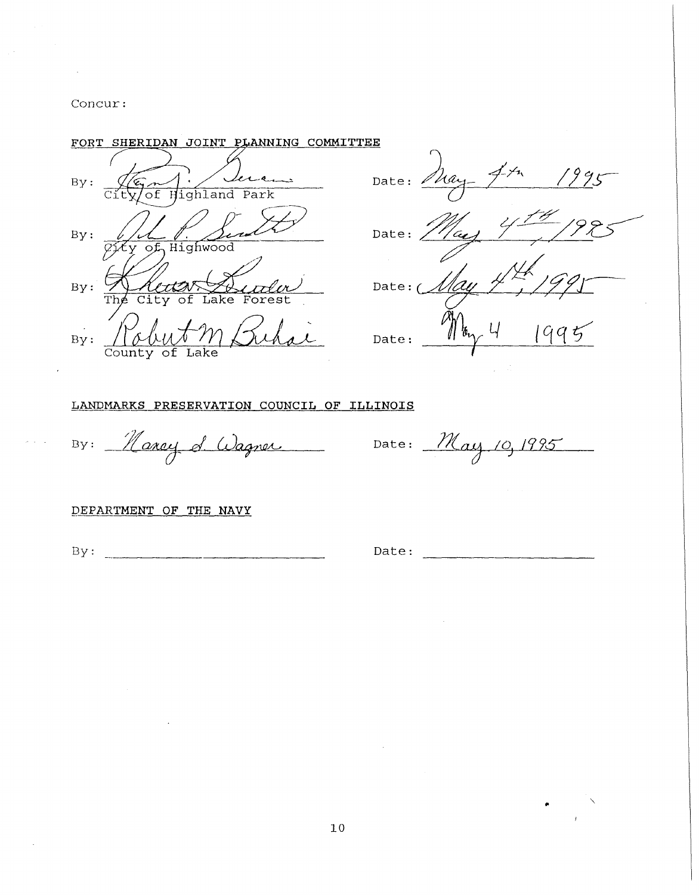Concur:

# FORT SHERIDAN JOINT PLANNING COMMITTEE

lera En Vere By:  $By:$ L 1. Se  $By:$ ke  $\mathbf{r}$  $Bv:$ County of Lake

1995 Date: May Date:

Date:  $\epsilon$  $Date:$ 

# LANDMARKS PRESERVATION COUNCIL OF ILLINOIS

By: Marcy d'Adgner  $\overline{\phantom{a}}$ 

Date: May 10, 1995

## DEPARTMENT OF THE NAVY

 $By:$ 

Date: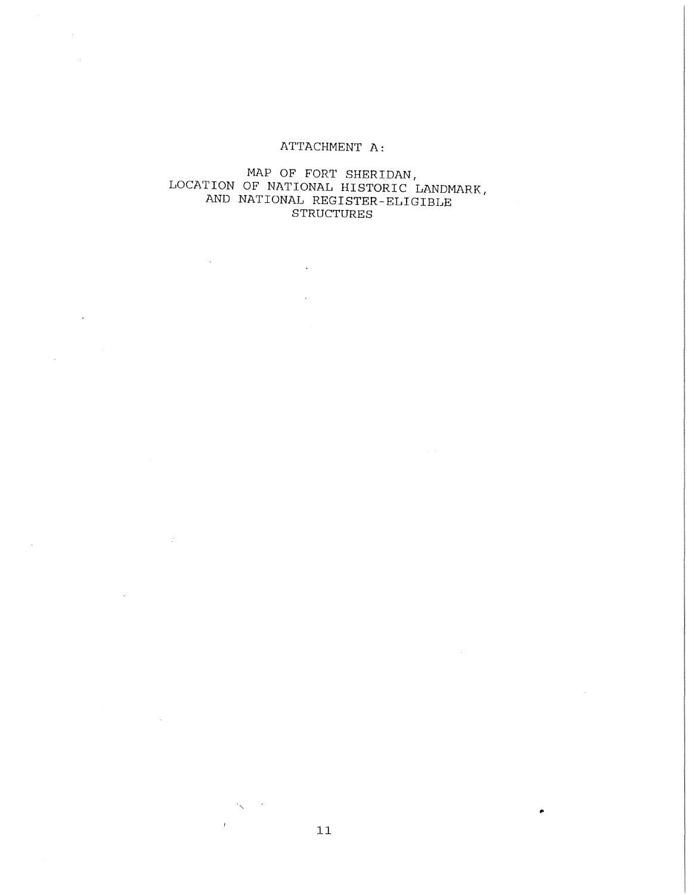# ATTACHMENT A:

# MAP OF FORT SHERIDAN, LOCATION OF NATIONAL HISTORIC LANDMARK, AND NATIONAL REGISTER-ELIGIBLE STRUCTURES

 $\ddot{\phantom{a}}$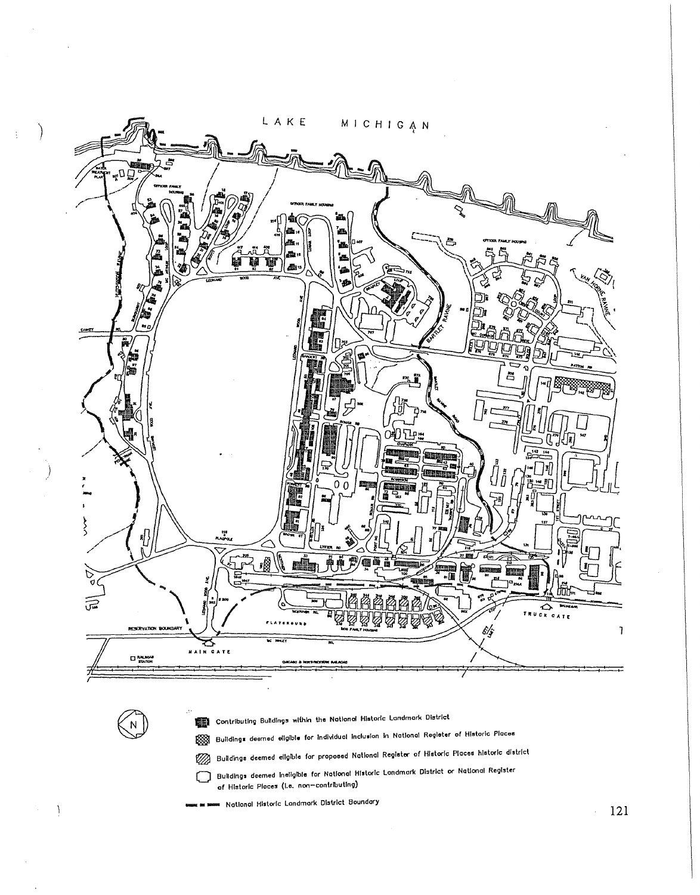

 $\sqrt{N}$ 

 $\mathcal{L}_{\mathcal{L}}$ 

 $\frac{1}{2}$ 

Contributing Buildings within the National Historic Landmark District

pool Buildings deemed eligible for Individual Inclusion in National Register of Historic Places

22 Buildings deemed eligible for proposed National Register of Historic Places historic district

Buildings deemed ineligible for National Historic Landmark District or National Register of Historic Places (i.e. non-contributing)

■ National Historic Landmark District Boundary

 $-121$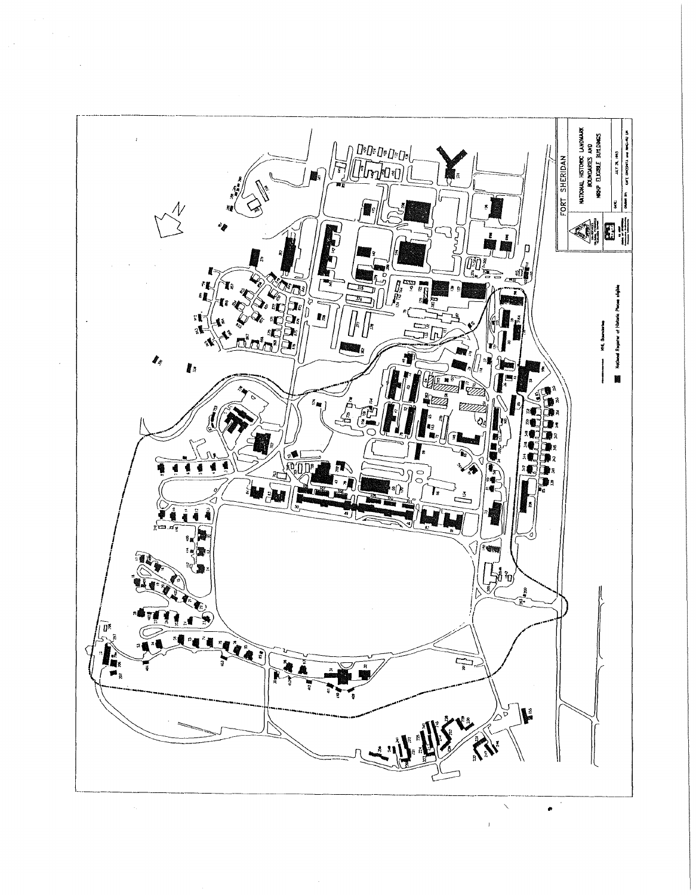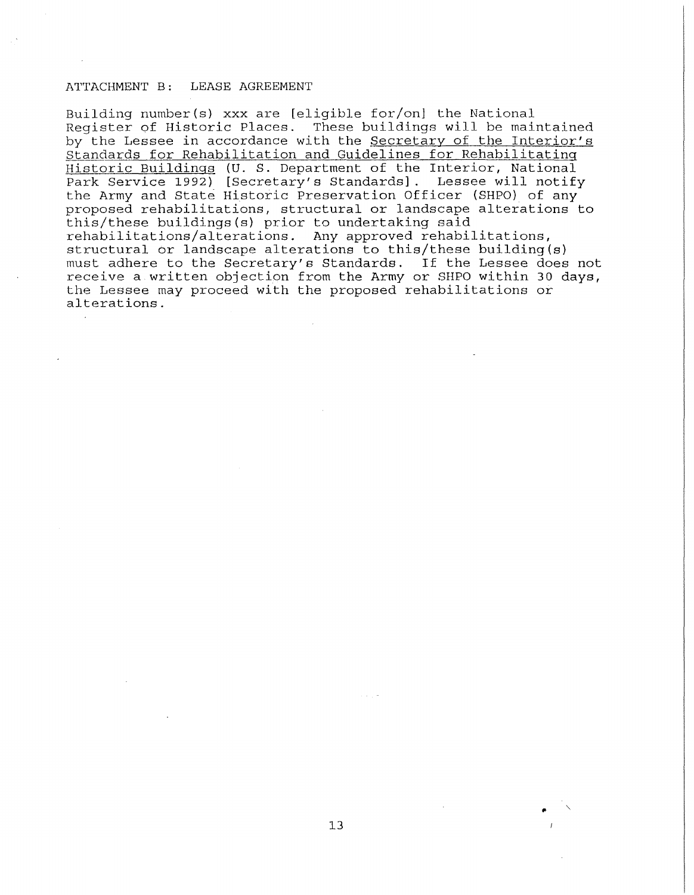## ATTACHMENT B: LEASE AGREEMENT

Building number(s) xxx are [eligible for/on] the National Register of Historic Places. These buildings will be maintained by the Lessee in accordance with the Secretary of the Interior's Standards for Rehabilitation and Guidelines for Rehabilitating Historic Buildings (U. S. Department of the Interior, National Park Service 1992) [Secretary's Standards]. Lessee will notify the Army and State Historic Preservation Officer (SHPO) of any proposed rehabilitations, structural or landscape alterations to this/these buildings(s) prior to undertaking said rehabilitations/alterations. Any approved rehabilitations, structural or landscape alterations to this/these building(s) must adhere to the Secretary's Standards. If the Lessee does not receive a written objection from the Army or SHPO within 30 days, the Lessee may proceed with the proposed rehabilitations or alterations.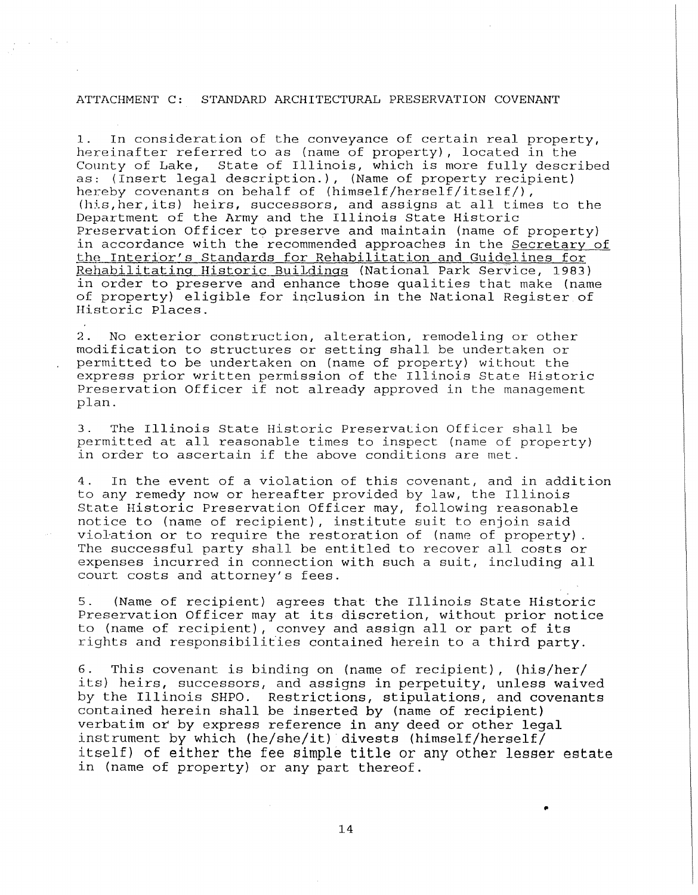### ATTACHMENT C: STANDARD ARCHITECTURAL PRESERVATION COVENANT

 $\mathcal{F}_{\text{in}}$  .

1. In consideration of the conveyance of certain real property, hereinafter referred to as (name of property), located in the County of Lake, State of Illinois, which is more fully described as: ( Insert legal description.) , (Name of property recipient) hereby covenants on behalf of (himself/herself/itself/), (his,her,its) heirs, successors, and assigns at all times to the Department of the Army and the Illinois State Historic Preservation Officer to preserve and maintain (name of property) in accordance with the recommended approaches in the Secretary of the Interior's Standards for Rehabilitation and Guidelines for Rehabilitating Historic BuiLdings (National Park Service, 1983) in order to preserve and enhance those qualities that make (name of property) eligible for inclusion in the National Register of Historic Places.

2. No exterior construction, alteration, remodeling or other modification to structures or setting shall be undertaken or permitted to be undertaken on (name of property} without the express prior written permission of the Illinois State Historic Preservation Officer if not already approved in the management plan.

3. The Illinois State Historic Preservation Officer shall be permitted at all reasonable times to inspect (name of property) in order to ascertain if the above conditions are met.

4. In the event of a violation of this covenant, and in addition to any remedy now or hereafter provided by law, the Illinois State Historic Preservation Officer may, following reasonable notice to (name of recipient), institute suit to enjoin said violation or to require the restoration of (name of property). The successful party shall be entitled to recover all costs or expenses incurred in connection with such a suit, including all court costs and attorney's fees.

5. (Name of recipient) agrees that the Illinois State Historic Preservation Officer may at its discretion, without prior notice to (name of recipient), convey and assign all or part of its rights and responsibilities contained herein to a third party.

6. This covenant is binding on (name of recipient), (his/her/ its) heirs, successors, and assigns in perpetuity, unless waived by the Illinois SHPO. Restrictions, stipulations, and covenants contained herein shall be inserted by (name of recipient) verbatim or by express reference in any deed or other legal instrument by which (he/she/it) divests (himself/herself/ itself) of either the fee simple title or any other lesser estate in (name of property) or any part thereof.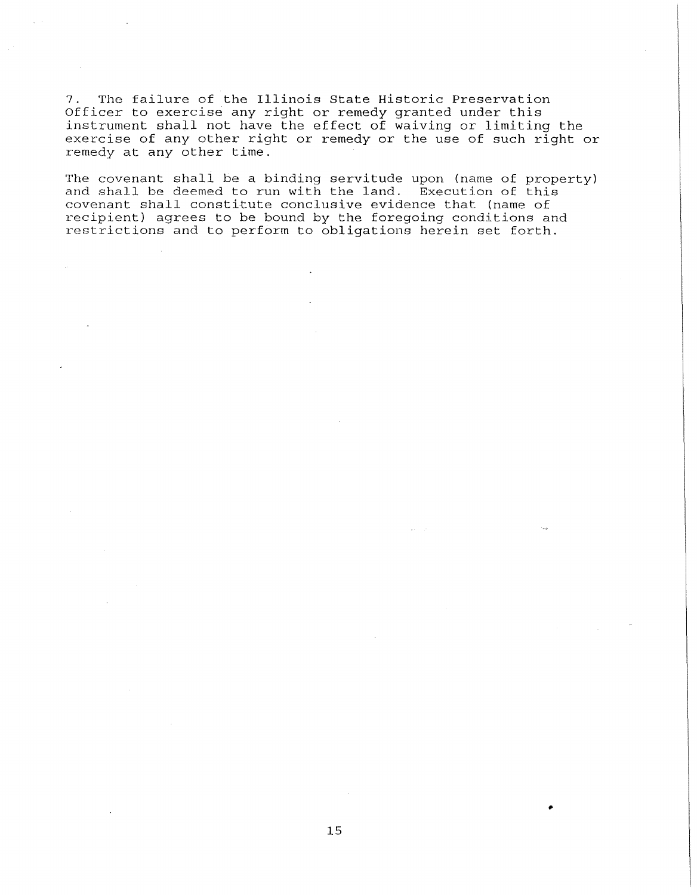7. The failure of the Illinois State Historic Preservation Officer to exercise any right or remedy granted under this instrument shall not have the effect of waiving or limiting the exercise of any other right or remedy or the use of such right or remedy at any other time.

The covenant shall be a binding servitude upon (name of property) and shall be deemed to run with the land. Execution of this covenant shall constitute conclusive evidence that (name of recipient) agrees to be bound by the foregoing conditions and restrictions and to perform to obligations herein set forth.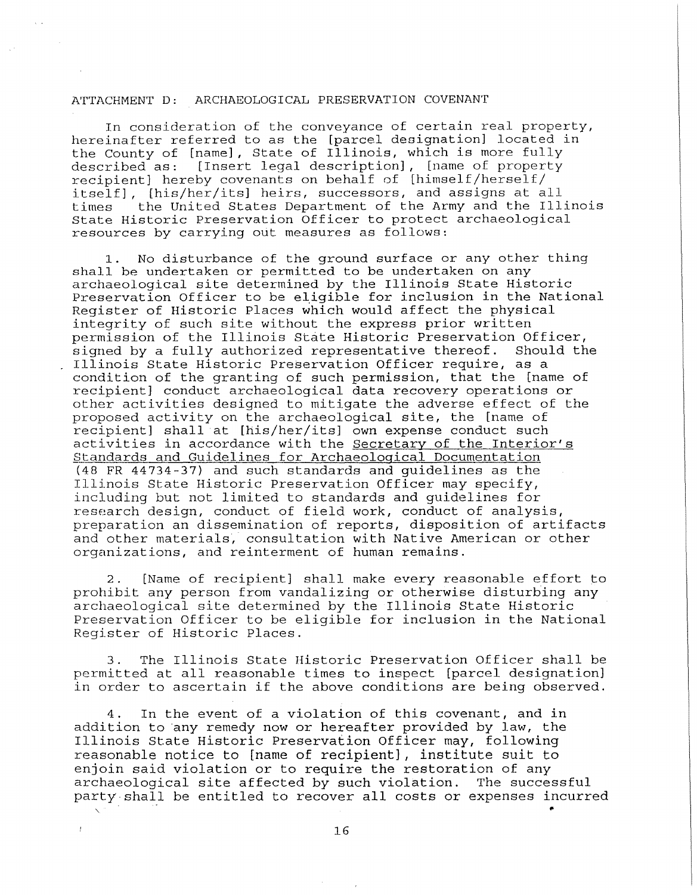### ATTACHMENT D: ARCHAEOLOGICAL PRESERVATION COVENANT

In consideration of the conveyance of certain real property, hereinafter referred to as the [parcel designation] located in the County of [name], State of Illinois, which is more fully<br>described as: [Insert legal description], [name of property [Insert legal description], [name of property recipient] hereby covenants on behalf of [himself/herself/ itself], [his/her/its] heirs, successors, and assigns at all<br>times the United States Department of the Army and the Ill the United States Department of the Army and the Illinois State Historic Preservation Officer to protect archaeological resources by carrying out measures as follows:

1. No disturbance of the ground surface or any other thing shall be undertaken or permitted to be undertaken on any archaeological site determined by the Illinois State Historic Preservation Officer to be eligible for inclusion in the National Register of Historic Places which would affect the physical integrity of such site without the express prior written permission of the Illinois State Historic Preservation Officer,<br>signed by a fully authorized representative thereof. Should the signed by a fully authorized representative thereof. Illinois State Historic Preservation Officer require, as a condition of the granting of such permission, that the [name of recipient] conduct archaeological data recovery operations or other activities designed to mitigate the adverse effect of the proposed activity on the archaeological site, the [name of recipient] shall at [his/her/its] own expense conduct such activities in accordance with the Secretary of the Interior's Standards and Guidelines for Archaeological Documentation (48 FR 44734-37) and such standards and guidelines as the Illinois State Historic Preservation Officer may specify, including but not limited to standards and guidelines for research design, conduct of field work, conduct of analysis, preparation an dissemination of reports, disposition of artifacts and other materials, consultation with Native American or other organizations, and reinterment of human remains.

2. [Name of recipient] shall make every reasonable effort to prohibit any person from vandalizing or otherwise disturbing any archaeological site determined by the Illinois State Historic Preservation Officer to be eligible for inclusion in the National Register of Historic Places.

3. The Illinois State Historic Preservation Officer shall be permitted at all reasonable times to inspect [parcel designation) in order to ascertain if the above conditions are being observed.

4. In the event of a violation of this covenant, and in addition to any remedy now or hereafter provided by law, the Illinois State Historic Preservation Officer may, following reasonable notice to [name of recipient), institute suit to enjoin said violation or to require the restoration of any archaeological site affected by such violation. The successful are all of the succession. The succession<br>party shall be entitled to recover all costs or expenses incurred

 $\overline{I}$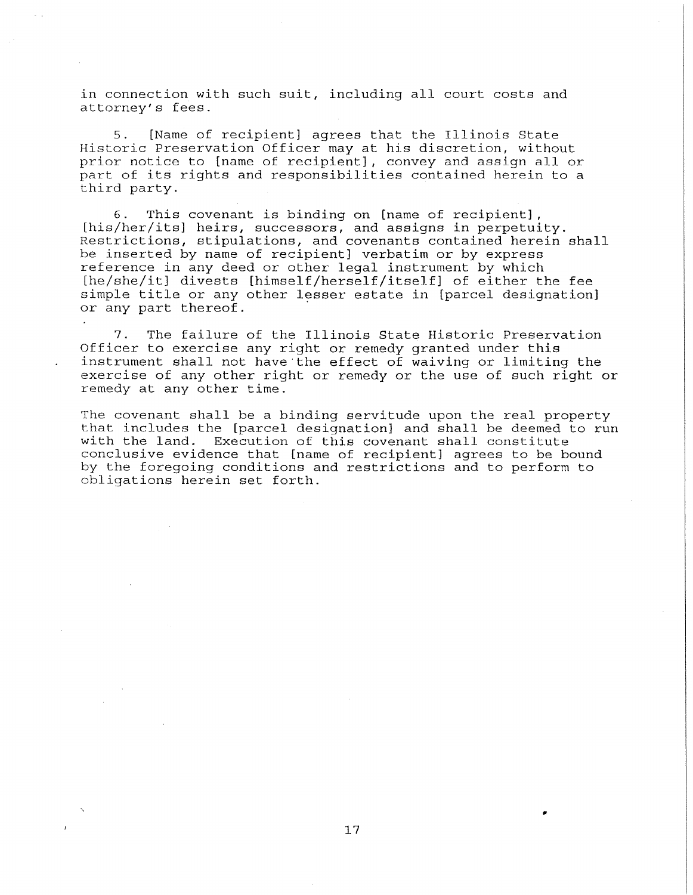in connection with such suit, including all court costs and attorney's fees.

5. [Name of recipient] agrees that the Illinois State Historic Preservation Officer may at his discretion, without prior notice to [name of recipient], convey and assign all or part of its rights and responsibilities contained herein to a third party.

6. This covenant is binding on [name of recipient], [his/her/its] heirs, successors, and assigns in perpetuity. Restrictions, stipulations, and covenants contained herein shall be inserted by name of recipient] verbatim or by express reference in any deed or other legal instrument by which [he/she/it] divests [himself/herself/itself] of either the fee simple title or any other lesser estate in [parcel designation] or any part thereof.

7. The failure of the Illinois State Historic Preservation Officer to exercise any right or remedy granted under this instrument shall not have·the effect of waiving or limiting the exercise of any other right or remedy or the use of such right or remedy at any other time.

The covenant shall be a binding servitude upon the real property that includes the [parcel designation] and shall be deemed to run with the land. Execution of this covenant shall constitute conclusive evidence that [name of recipient] agrees to be bound by the foregoing conditions and restrictions and to perform to obligations herein set forth.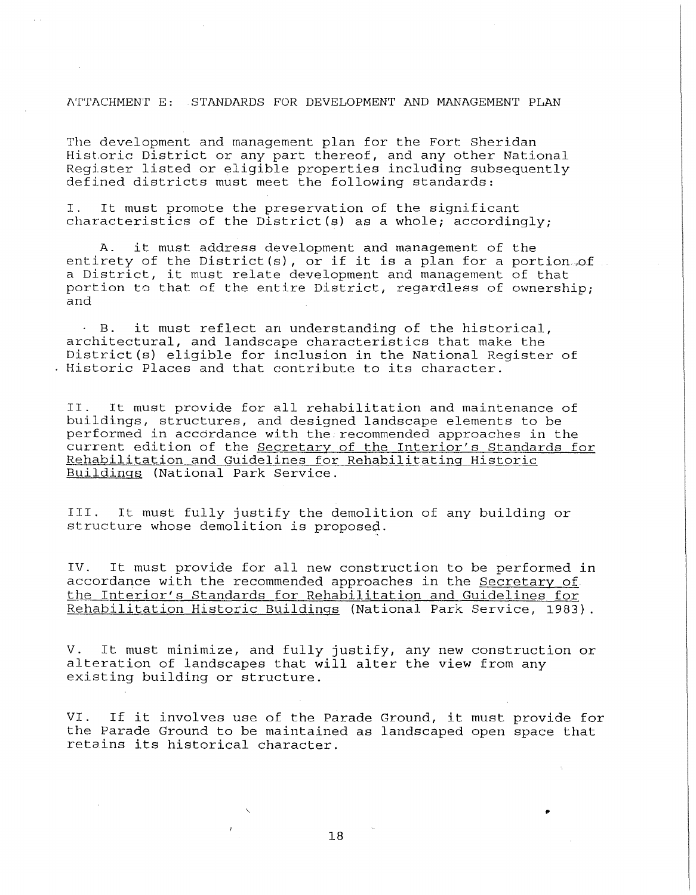## l\TTACHMENT E: STANDARDS FOR DEVELOPMENT AND MANAGEMENT PLAN

The development and management plan for the Fort Sheridan Historic District or any part thereof, and any other National Register listed or eligible properties including subsequently defined districts must meet the following standards:

I. It must promote the preservation of the significant characteristics of the District(s) as a whole; accordingly;

A. it must address development and management of the entirety of the District(s), or if it is a plan for a portion. of a District, it must relate development and management of that portion to that of the entire District, regardless of ownership; and

B. it must reflect an understanding of the historical, architectural, and landscape characteristics that make the District(s) eligible for inclusion in the National Register of . Historic Places and that contribute to its character.

II. It must provide for all rehabilitation and maintenance of buildings, structures, and designed landscape elements to be performed in accordance with the.recommended approaches in the performed in accordance with the recommended approaches in the Rehabilitation and Guidelines for Rehabilitating Historic Buildings (National Park Service.

III. It must fully justify the demolition of any building or structure whose demolition is proposed.

IV. It must provide for all new construction to be performed in accordance with the recommended approaches in the Secretary of the Interior's Standards for Rehabilitation and Guidelines for Rehabilitation Historic Buildings (National Park Service, 1983).

V. It must minimize, and fully justify, any new construction or alteration of landscapes that will alter the view from any existing building or structure.

VI. If it involves use of the Parade Ground, it must provide for the Parade Ground to be maintained as landscaped open space that retains its historical character.